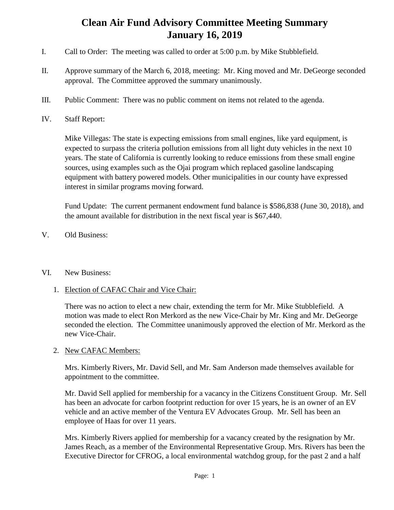## **Clean Air Fund Advisory Committee Meeting Summary January 16, 2019**

- I. Call to Order: The meeting was called to order at 5:00 p.m. by Mike Stubblefield.
- II. Approve summary of the March 6, 2018, meeting: Mr. King moved and Mr. DeGeorge seconded approval. The Committee approved the summary unanimously.
- III. Public Comment: There was no public comment on items not related to the agenda.
- IV. Staff Report:

Mike Villegas: The state is expecting emissions from small engines, like yard equipment, is expected to surpass the criteria pollution emissions from all light duty vehicles in the next 10 years. The state of California is currently looking to reduce emissions from these small engine sources, using examples such as the Ojai program which replaced gasoline landscaping equipment with battery powered models. Other municipalities in our county have expressed interest in similar programs moving forward.

Fund Update: The current permanent endowment fund balance is \$586,838 (June 30, 2018), and the amount available for distribution in the next fiscal year is \$67,440.

V. Old Business:

## VI. New Business:

1. Election of CAFAC Chair and Vice Chair:

There was no action to elect a new chair, extending the term for Mr. Mike Stubblefield. A motion was made to elect Ron Merkord as the new Vice-Chair by Mr. King and Mr. DeGeorge seconded the election. The Committee unanimously approved the election of Mr. Merkord as the new Vice-Chair.

## 2. New CAFAC Members:

Mrs. Kimberly Rivers, Mr. David Sell, and Mr. Sam Anderson made themselves available for appointment to the committee.

Mr. David Sell applied for membership for a vacancy in the Citizens Constituent Group. Mr. Sell has been an advocate for carbon footprint reduction for over 15 years, he is an owner of an EV vehicle and an active member of the Ventura EV Advocates Group. Mr. Sell has been an employee of Haas for over 11 years.

Mrs. Kimberly Rivers applied for membership for a vacancy created by the resignation by Mr. James Reach, as a member of the Environmental Representative Group. Mrs. Rivers has been the Executive Director for CFROG, a local environmental watchdog group, for the past 2 and a half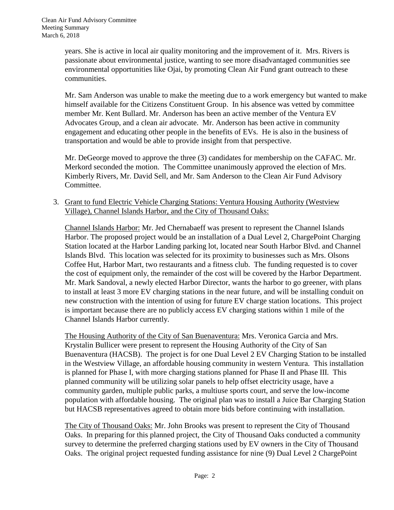years. She is active in local air quality monitoring and the improvement of it. Mrs. Rivers is passionate about environmental justice, wanting to see more disadvantaged communities see environmental opportunities like Ojai, by promoting Clean Air Fund grant outreach to these communities.

Mr. Sam Anderson was unable to make the meeting due to a work emergency but wanted to make himself available for the Citizens Constituent Group. In his absence was vetted by committee member Mr. Kent Bullard. Mr. Anderson has been an active member of the Ventura EV Advocates Group, and a clean air advocate. Mr. Anderson has been active in community engagement and educating other people in the benefits of EVs. He is also in the business of transportation and would be able to provide insight from that perspective.

Mr. DeGeorge moved to approve the three (3) candidates for membership on the CAFAC. Mr. Merkord seconded the motion. The Committee unanimously approved the election of Mrs. Kimberly Rivers, Mr. David Sell, and Mr. Sam Anderson to the Clean Air Fund Advisory Committee.

3. Grant to fund Electric Vehicle Charging Stations: Ventura Housing Authority (Westview Village), Channel Islands Harbor, and the City of Thousand Oaks:

Channel Islands Harbor: Mr. Jed Chernabaeff was present to represent the Channel Islands Harbor. The proposed project would be an installation of a Dual Level 2, ChargePoint Charging Station located at the Harbor Landing parking lot, located near South Harbor Blvd. and Channel Islands Blvd. This location was selected for its proximity to businesses such as Mrs. Olsons Coffee Hut, Harbor Mart, two restaurants and a fitness club. The funding requested is to cover the cost of equipment only, the remainder of the cost will be covered by the Harbor Department. Mr. Mark Sandoval, a newly elected Harbor Director, wants the harbor to go greener, with plans to install at least 3 more EV charging stations in the near future, and will be installing conduit on new construction with the intention of using for future EV charge station locations. This project is important because there are no publicly access EV charging stations within 1 mile of the Channel Islands Harbor currently.

The Housing Authority of the City of San Buenaventura: Mrs. Veronica Garcia and Mrs. Krystalin Bullicer were present to represent the Housing Authority of the City of San Buenaventura (HACSB). The project is for one Dual Level 2 EV Charging Station to be installed in the Westview Village, an affordable housing community in western Ventura. This installation is planned for Phase I, with more charging stations planned for Phase II and Phase III. This planned community will be utilizing solar panels to help offset electricity usage, have a community garden, multiple public parks, a multiuse sports court, and serve the low-income population with affordable housing. The original plan was to install a Juice Bar Charging Station but HACSB representatives agreed to obtain more bids before continuing with installation.

The City of Thousand Oaks: Mr. John Brooks was present to represent the City of Thousand Oaks. In preparing for this planned project, the City of Thousand Oaks conducted a community survey to determine the preferred charging stations used by EV owners in the City of Thousand Oaks. The original project requested funding assistance for nine (9) Dual Level 2 ChargePoint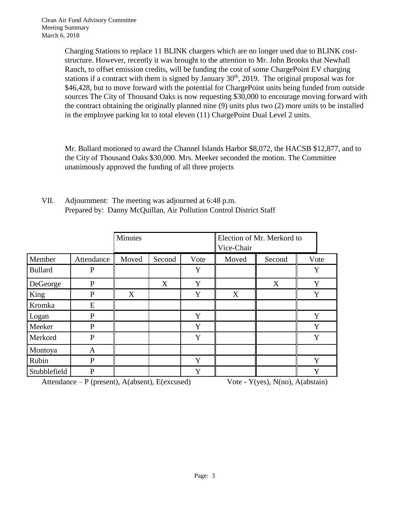Charging Stations to replace 11 BLINK chargers which are no longer used due to BLINK coststructure. However, recently it was brought to the attention to Mr. John Brooks that Newhall Ranch, to offset emission credits, will be funding the cost of some ChargePoint EV charging stations if a contract with them is signed by January  $30<sup>th</sup>$ , 2019. The original proposal was for \$46,428, but to move forward with the potential for ChargePoint units being funded from outside sources The City of Thousand Oaks is now requesting \$30,000 to encourage moving forward with the contract obtaining the originally planned nine (9) units plus two (2) more units to be installed in the employee parking lot to total eleven (11) ChargePoint Dual Level 2 units.

Mr. Bullard motioned to award the Channel Islands Harbor \$8,072, the HACSB \$12,877, and to the City of Thousand Oaks \$30,000. Mrs. Meeker seconded the motion. The Committee unanimously approved the funding of all three projects

|                |              | <b>Minutes</b> |        |      | Election of Mr. Merkord to<br>Vice-Chair |        |      |
|----------------|--------------|----------------|--------|------|------------------------------------------|--------|------|
| Member         | Attendance   | Moved          | Second | Vote | Moved                                    | Second | Vote |
| <b>Bullard</b> | $\mathbf P$  |                |        | Y    |                                          |        | Y    |
| DeGeorge       | P            |                | X      | Y    |                                          | X      | Y    |
| King           | $\mathbf{P}$ | X              |        | Y    | X                                        |        | Y    |
| Kromka         | E            |                |        |      |                                          |        |      |
| Logan          | $\mathbf{P}$ |                |        | Y    |                                          |        | Y    |
| Meeker         | $\mathbf{P}$ |                |        | Y    |                                          |        | Y    |
| Merkord        | $\mathbf{P}$ |                |        | Y    |                                          |        | Y    |
| Montoya        | A            |                |        |      |                                          |        |      |
| Rubin          | $\mathbf{P}$ |                |        | Y    |                                          |        | Y    |
| Stubblefield   | P            |                |        | Y    |                                          |        | Y    |

VII. Adjournment: The meeting was adjourned at 6:48 p.m. Prepared by: Danny McQuillan, Air Pollution Control District Staff

Attendance – P (present),  $A(absent)$ ,  $E(excused)$  Vote - Y(yes),  $N(no)$ ,  $A(abstain)$